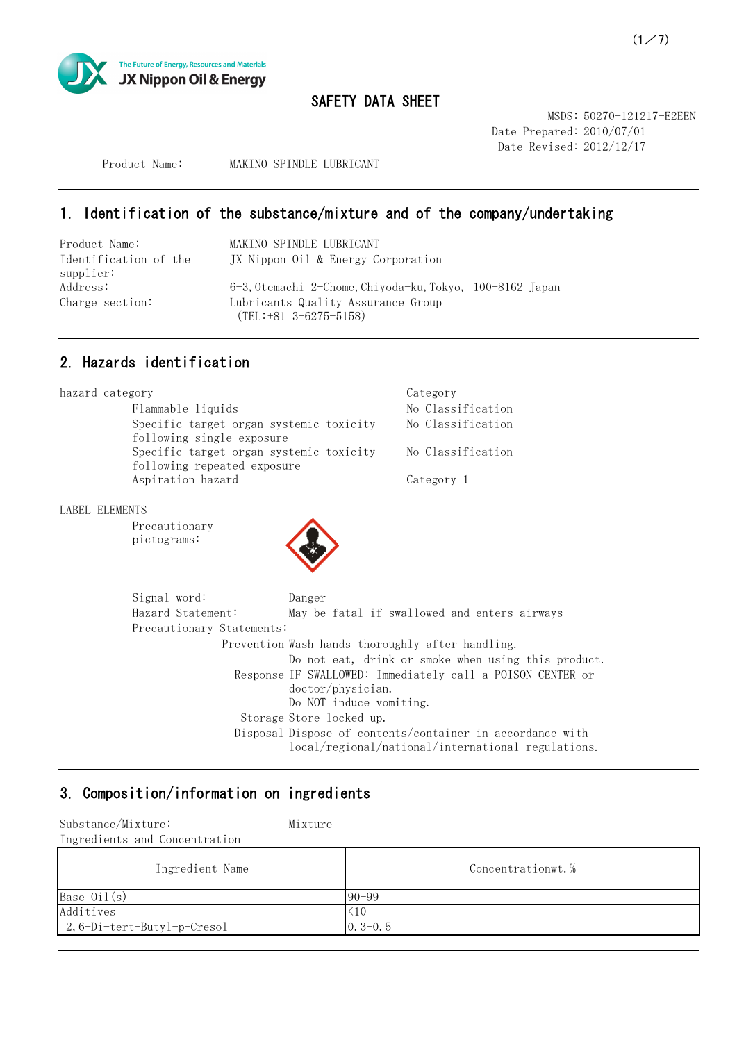

MSDS: 50270-121217-E2EEN Date Prepared: 2010/07/01 Date Revised: 2012/12/17

Product Name: MAKINO SPINDLE LUBRICANT

# 1. Identification of the substance/mixture and of the company/undertaking

| Product Name:         | MAKINO SPINDLE LUBRICANT                              |  |
|-----------------------|-------------------------------------------------------|--|
| Identification of the | JX Nippon Oil & Energy Corporation                    |  |
| supplier:             |                                                       |  |
| Address:              | 6-3,0temachi 2-Chome,Chiyoda-ku,Tokyo, 100-8162 Japan |  |
| Charge section:       | Lubricants Quality Assurance Group                    |  |
|                       | $(TEL: +81 \ 3-6275-5158)$                            |  |

## 2. Hazards identification

| hazard category                         | Category          |
|-----------------------------------------|-------------------|
| Flammable liquids                       | No Classification |
| Specific target organ systemic toxicity | No Classification |
| following single exposure               |                   |
| Specific target organ systemic toxicity | No Classification |
| following repeated exposure             |                   |
| Aspiration hazard                       | Category 1        |

LABEL ELEMENTS

Precautionary pictograms:



| Signal word:              | Danger                                                                                                          |
|---------------------------|-----------------------------------------------------------------------------------------------------------------|
| Hazard Statement:         | May be fatal if swallowed and enters airways                                                                    |
| Precautionary Statements: |                                                                                                                 |
|                           | Prevention Wash hands thoroughly after handling.                                                                |
|                           | Do not eat, drink or smoke when using this product.                                                             |
|                           | Response IF SWALLOWED: Immediately call a POISON CENTER or<br>doctor/physician.<br>Do NOT induce vomiting.      |
|                           | Storage Store locked up.                                                                                        |
|                           | Disposal Dispose of contents/container in accordance with<br>local/regional/national/international regulations. |

# 3. Composition/information on ingredients

| Substance/Mixture:<br>Ingredients and Concentration | Mixture |                   |
|-----------------------------------------------------|---------|-------------------|
| Ingredient Name                                     |         | Concentrationwt.% |
| Base $0i1(s)$                                       |         | $90 - 99$         |
| Additives                                           |         | $\leq 10$         |
| $2, 6-Di-tert-Buty1-p-Cresol$                       |         | $0.3-0.5$         |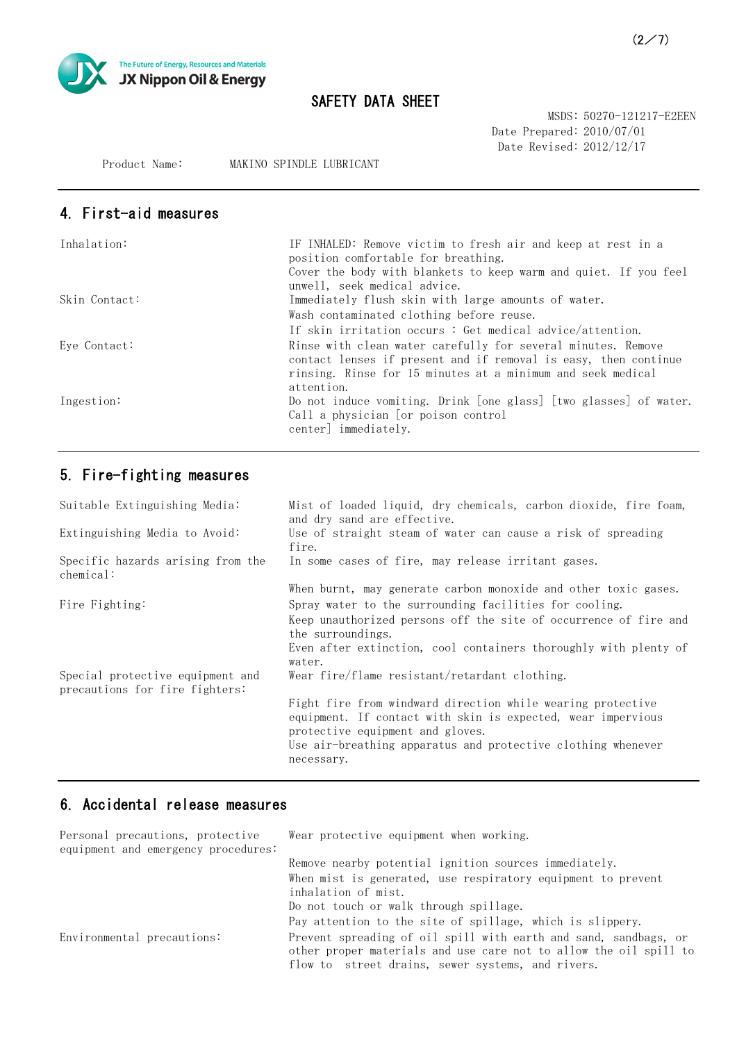

MSDS: 50270-121217-E2EEN Date Prepared: 2010/07/01 Date Revised: 2012/12/17

Product Name: MAKINO SPINDLE LUBRICANT

# 4. First-aid measures

| Inhalation:   | IF INHALED: Remove victim to fresh air and keep at rest in a<br>position comfortable for breathing.<br>Cover the body with blankets to keep warm and quiet. If you feel<br>unwell, seek medical advice.      |
|---------------|--------------------------------------------------------------------------------------------------------------------------------------------------------------------------------------------------------------|
| Skin Contact: | Immediately flush skin with large amounts of water.                                                                                                                                                          |
|               | Wash contaminated clothing before reuse.                                                                                                                                                                     |
|               | If skin irritation occurs: Get medical advice/attention.                                                                                                                                                     |
| Eye Contact:  | Rinse with clean water carefully for several minutes. Remove<br>contact lenses if present and if removal is easy, then continue<br>rinsing. Rinse for 15 minutes at a minimum and seek medical<br>attention. |
| Ingestion:    | Do not induce vomiting. Drink [one glass] [two glasses] of water.<br>Call a physician [or poison control<br>center] immediately.                                                                             |

# 5. Fire-fighting measures

| Mist of loaded liquid, dry chemicals, carbon dioxide, fire foam,<br>and dry sand are effective.                                                                                                                                               |
|-----------------------------------------------------------------------------------------------------------------------------------------------------------------------------------------------------------------------------------------------|
| Use of straight steam of water can cause a risk of spreading<br>fire.                                                                                                                                                                         |
| In some cases of fire, may release irritant gases.                                                                                                                                                                                            |
| When burnt, may generate carbon monoxide and other toxic gases.                                                                                                                                                                               |
| Spray water to the surrounding facilities for cooling.                                                                                                                                                                                        |
| Keep unauthorized persons off the site of occurrence of fire and<br>the surroundings.                                                                                                                                                         |
| Even after extinction, cool containers thoroughly with plenty of<br>water.                                                                                                                                                                    |
| Wear fire/flame resistant/retardant clothing.                                                                                                                                                                                                 |
| Fight fire from windward direction while wearing protective<br>equipment. If contact with skin is expected, wear impervious<br>protective equipment and gloves.<br>Use air-breathing apparatus and protective clothing whenever<br>necessary. |
|                                                                                                                                                                                                                                               |

### 6. Accidental release measures

| Personal precautions, protective<br>equipment and emergency procedures: | Wear protective equipment when working.                                                                                                                                                    |
|-------------------------------------------------------------------------|--------------------------------------------------------------------------------------------------------------------------------------------------------------------------------------------|
|                                                                         | Remove nearby potential ignition sources immediately.                                                                                                                                      |
|                                                                         | When mist is generated, use respiratory equipment to prevent<br>inhalation of mist.                                                                                                        |
|                                                                         | Do not touch or walk through spillage.                                                                                                                                                     |
|                                                                         | Pay attention to the site of spillage, which is slippery.                                                                                                                                  |
| Environmental precautions:                                              | Prevent spreading of oil spill with earth and sand, sandbags, or<br>other proper materials and use care not to allow the oil spill to<br>flow to street drains, sewer systems, and rivers. |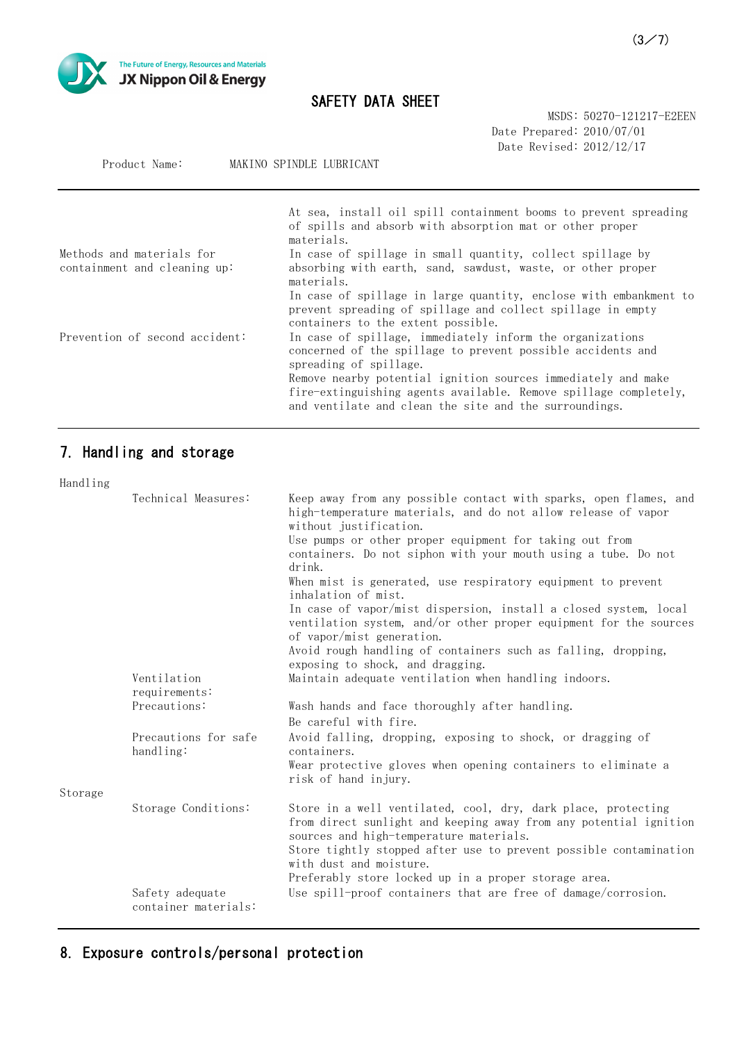

Product Name: MAKINO SPINDLE LUBRICANT

# SAFETY DATA SHEET

MSDS: 50270-121217-E2EEN Date Prepared: 2010/07/01 Date Revised: 2012/12/17

|                                                           | At sea, install oil spill containment booms to prevent spreading<br>of spills and absorb with absorption mat or other proper<br>materials.                                                  |
|-----------------------------------------------------------|---------------------------------------------------------------------------------------------------------------------------------------------------------------------------------------------|
| Methods and materials for<br>containment and cleaning up: | In case of spillage in small quantity, collect spillage by<br>absorbing with earth, sand, sawdust, waste, or other proper<br>materials.                                                     |
|                                                           | In case of spillage in large quantity, enclose with embankment to<br>prevent spreading of spillage and collect spillage in empty<br>containers to the extent possible.                      |
| Prevention of second accident:                            | In case of spillage, immediately inform the organizations<br>concerned of the spillage to prevent possible accidents and<br>spreading of spillage.                                          |
|                                                           | Remove nearby potential ignition sources immediately and make<br>fire-extinguishing agents available. Remove spillage completely,<br>and ventilate and clean the site and the surroundings. |

# 7. Handling and storage

| Handling |                                         |                                                                                                                                                                               |
|----------|-----------------------------------------|-------------------------------------------------------------------------------------------------------------------------------------------------------------------------------|
|          | Technical Measures:                     | Keep away from any possible contact with sparks, open flames, and<br>high-temperature materials, and do not allow release of vapor<br>without justification.                  |
|          |                                         | Use pumps or other proper equipment for taking out from<br>containers. Do not siphon with your mouth using a tube. Do not<br>drink.                                           |
|          |                                         | When mist is generated, use respiratory equipment to prevent<br>inhalation of mist.                                                                                           |
|          |                                         | In case of vapor/mist dispersion, install a closed system, local<br>ventilation system, and/or other proper equipment for the sources<br>of vapor/mist generation.            |
|          |                                         | Avoid rough handling of containers such as falling, dropping,<br>exposing to shock, and dragging.                                                                             |
|          | Ventilation<br>requirements:            | Maintain adequate ventilation when handling indoors.                                                                                                                          |
|          | Precautions:                            | Wash hands and face thoroughly after handling.<br>Be careful with fire.                                                                                                       |
|          | Precautions for safe<br>handling:       | Avoid falling, dropping, exposing to shock, or dragging of<br>containers.                                                                                                     |
|          |                                         | Wear protective gloves when opening containers to eliminate a<br>risk of hand injury.                                                                                         |
| Storage  |                                         |                                                                                                                                                                               |
|          | Storage Conditions:                     | Store in a well ventilated, cool, dry, dark place, protecting<br>from direct sunlight and keeping away from any potential ignition<br>sources and high-temperature materials. |
|          |                                         | Store tightly stopped after use to prevent possible contamination<br>with dust and moisture.                                                                                  |
|          | Safety adequate<br>container materials: | Preferably store locked up in a proper storage area.<br>Use spill-proof containers that are free of damage/corrosion.                                                         |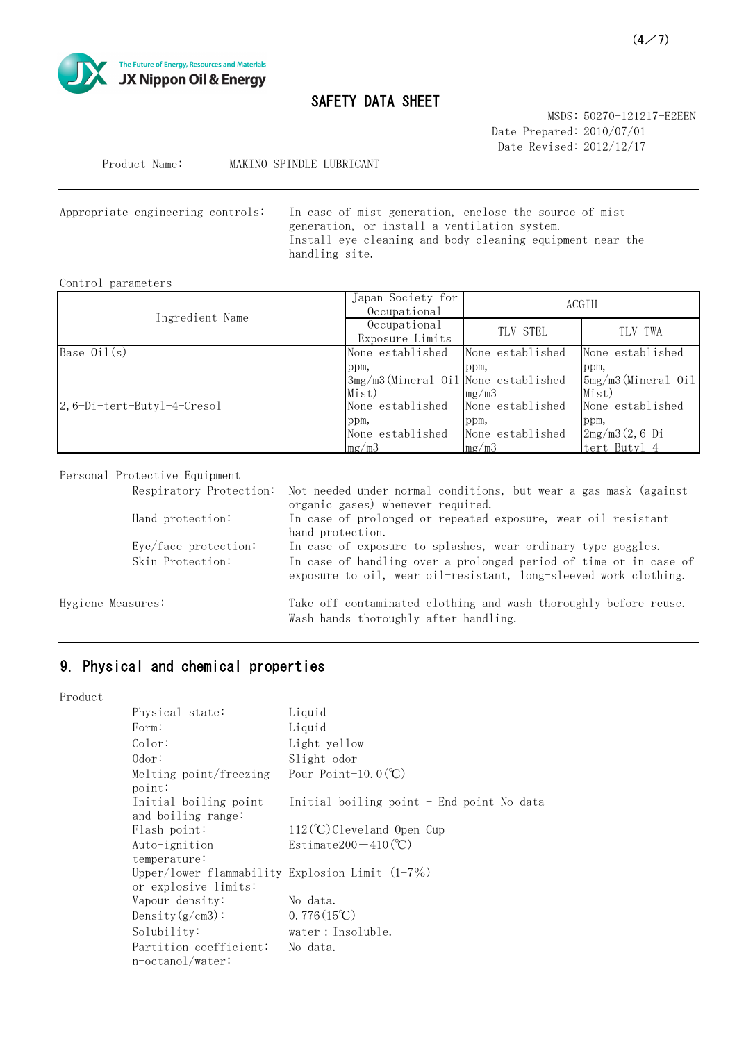

MSDS: 50270-121217-E2EEN Date Prepared: 2010/07/01 Date Revised: 2012/12/17

Product Name: MAKINO SPINDLE LUBRICANT

In case of mist generation, enclose the source of mist generation, or install a ventilation system. Install eye cleaning and body cleaning equipment near the handling site. Appropriate engineering controls:

#### Control parameters

| Ingredient Name               | Japan Society for<br>Occupational                     |                                                       | ACGIH                                                          |
|-------------------------------|-------------------------------------------------------|-------------------------------------------------------|----------------------------------------------------------------|
|                               | Occupational<br>Exposure Limits                       | TLV-STEL                                              | TLV-TWA                                                        |
| Base $0i1(s)$                 | None established                                      | None established                                      | None established                                               |
|                               | ppm,<br>3mg/m3(Mineral Oil None established<br>Mist)  | ppm,<br>mg/m3                                         | ppm,<br>5mg/m3(Mineral Oil<br>Mist)                            |
| $2, 6-Di-tert-Buty1-4-Cresol$ | None established<br>ppm,<br>None established<br>mg/m3 | None established<br>ppm,<br>None established<br>mg/m3 | None established<br>ppm,<br>$2mg/m3(2, 6-Di-$<br>tert-Butyl-4- |

#### Personal Protective Equipment

|                   |                        | Respiratory Protection: Not needed under normal conditions, but wear a gas mask (against<br>organic gases) whenever required.         |
|-------------------|------------------------|---------------------------------------------------------------------------------------------------------------------------------------|
|                   | Hand protection:       | In case of prolonged or repeated exposure, wear oil-resistant<br>hand protection.                                                     |
|                   | $Eye/face$ protection: | In case of exposure to splashes, wear ordinary type goggles.                                                                          |
|                   | Skin Protection:       | In case of handling over a prolonged period of time or in case of<br>exposure to oil, wear oil-resistant, long-sleeved work clothing. |
| Hygiene Measures: |                        | Take off contaminated clothing and wash thoroughly before reuse.                                                                      |
|                   |                        | Wash hands thoroughly after handling.                                                                                                 |

# 9. Physical and chemical properties

Product

| Physical state:                                                            | Liquid                                    |
|----------------------------------------------------------------------------|-------------------------------------------|
| Form:                                                                      | Liquid                                    |
| Color:                                                                     | Light yellow                              |
| 0dor:                                                                      | Slight odor                               |
| Melting point/freezing<br>point:                                           | Pour Point-10.0 $(C)$                     |
| Initial boiling point<br>and boiling range:                                | Initial boiling point - End point No data |
| Flash point:                                                               | $112$ (°C) Cleveland Open Cup             |
| Auto-ignition                                                              | Estimate200 $-410$ (°C)                   |
| temperature:                                                               |                                           |
| Upper/lower flammability Explosion Limit $(1-7\%)$<br>or explosive limits: |                                           |
| Vapour density:                                                            | No data.                                  |
| Density $(g/cm3)$ :                                                        | $0.776(15^{\circ}\text{C})$               |
| Solubility:                                                                | water: Insoluble.                         |
| Partition coefficient:<br>n-octanol/water:                                 | No data.                                  |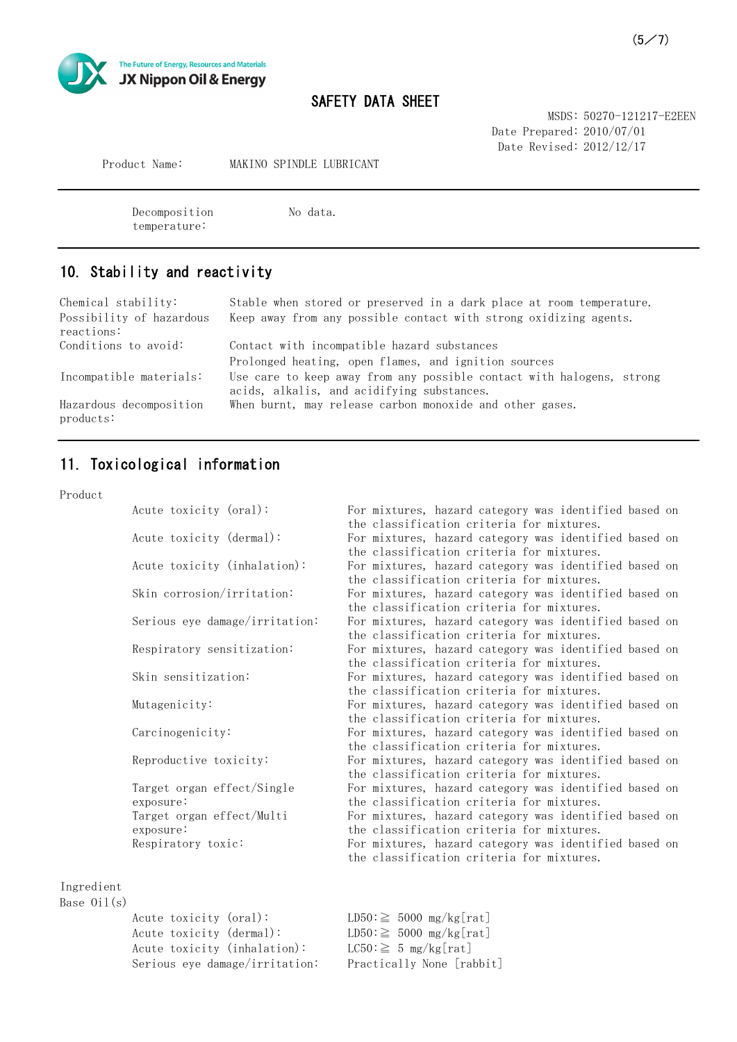

MSDS: 50270-121217-E2EEN Date Prepared: 2010/07/01 Date Revised: 2012/12/17

Product Name: MAKINO SPINDLE LUBRICANT

Decomposition No data. temperature:

## 10. Stability and reactivity

Contact with incompatible hazard substances Prolonged heating, open flames, and ignition sources Stable when stored or preserved in a dark place at room temperature. Keep away from any possible contact with strong oxidizing agents. Chemical stability: Possibility of hazardous reactions: Conditions to avoid: Use care to keep away from any possible contact with halogens, strong acids, alkalis, and acidifying substances. When burnt, may release carbon monoxide and other gases. Incompatible materials: Hazardous decomposition products:

# 11. Toxicological information

#### Product

| Acute toxicity (oral):         | For mixtures, hazard category was identified based on |  |
|--------------------------------|-------------------------------------------------------|--|
|                                | the classification criteria for mixtures.             |  |
| Acute toxicity (dermal):       | For mixtures, hazard category was identified based on |  |
|                                | the classification criteria for mixtures.             |  |
| Acute toxicity (inhalation):   | For mixtures, hazard category was identified based on |  |
|                                | the classification criteria for mixtures.             |  |
| Skin corrosion/irritation:     | For mixtures, hazard category was identified based on |  |
|                                | the classification criteria for mixtures.             |  |
| Serious eye damage/irritation: | For mixtures, hazard category was identified based on |  |
|                                | the classification criteria for mixtures.             |  |
| Respiratory sensitization:     | For mixtures, hazard category was identified based on |  |
|                                | the classification criteria for mixtures.             |  |
| Skin sensitization:            | For mixtures, hazard category was identified based on |  |
|                                | the classification criteria for mixtures.             |  |
| Mutagenicity:                  | For mixtures, hazard category was identified based on |  |
|                                | the classification criteria for mixtures.             |  |
| Carcinogenicity:               | For mixtures, hazard category was identified based on |  |
|                                | the classification criteria for mixtures.             |  |
| Reproductive toxicity:         | For mixtures, hazard category was identified based on |  |
|                                | the classification criteria for mixtures.             |  |
| Target organ effect/Single     | For mixtures, hazard category was identified based on |  |
| exposure:                      | the classification criteria for mixtures.             |  |
| Target organ effect/Multi      | For mixtures, hazard category was identified based on |  |
| exposure:                      | the classification criteria for mixtures.             |  |
| Respiratory toxic:             | For mixtures, hazard category was identified based on |  |
|                                | the classification criteria for mixtures.             |  |
|                                |                                                       |  |

Ingredient

Base  $0i1(s)$ 

```
Acute toxicity (oral): LD50 \geq 5000 \text{ mg/kg}[\text{rat}]Acute toxicity (dermal): LD50 \geq 5000 mg/kg[rat]
Acute toxicity (inhalation): LC50: \geq 5 mg/kg[rat]
Serious eye damage/irritation: Practically None [rabbit]
```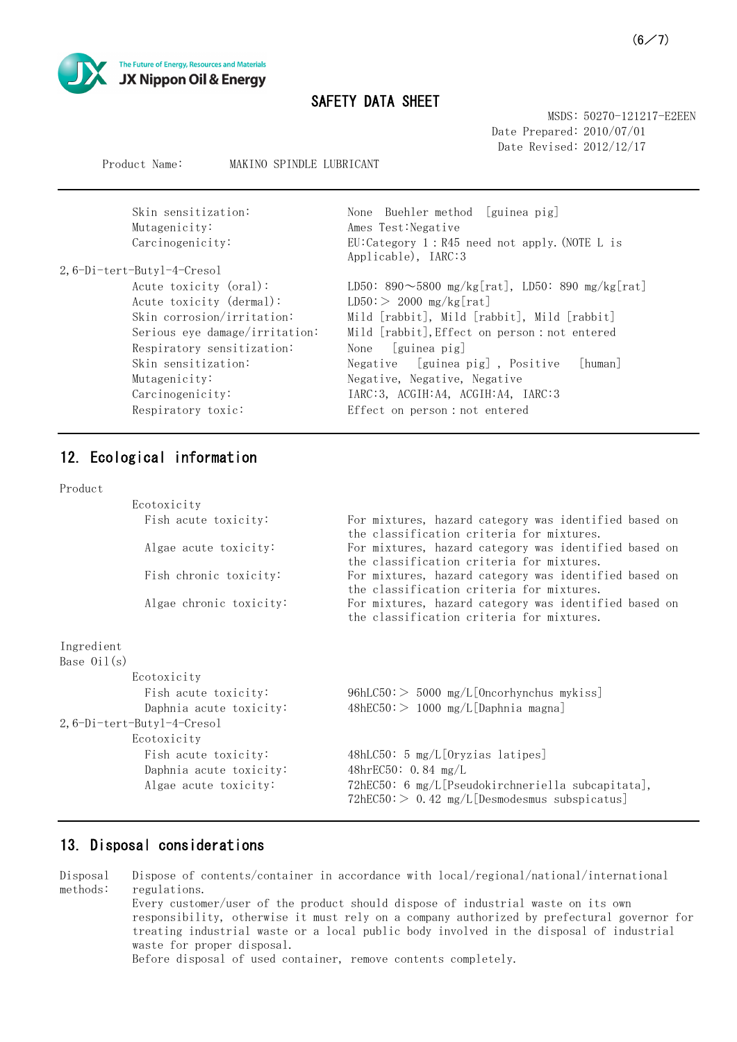

MSDS: 50270-121217-E2EEN Date Prepared: 2010/07/01 Date Revised: 2012/12/17

#### Product Name: MAKINO SPINDLE LUBRICANT

| Skin sensitization:<br>Mutagenicity:<br>Carcinogenicity: | None Buehler method [guinea pig]<br>Ames Test: Negative<br>EU:Category 1:R45 need not apply. (NOTE L is<br>Applicable), IARC:3 |
|----------------------------------------------------------|--------------------------------------------------------------------------------------------------------------------------------|
| 2,6-Di-tert-Butyl-4-Cresol                               |                                                                                                                                |
| Acute toxicity (oral):                                   | LD50: 890 $\sim$ 5800 mg/kg[rat], LD50: 890 mg/kg[rat]                                                                         |
| Acute toxicity (dermal):                                 | $LD50$ : > 2000 mg/kg[rat]                                                                                                     |
| Skin corrosion/irritation:                               | Mild [rabbit], Mild [rabbit], Mild [rabbit]                                                                                    |
| Serious eye damage/irritation:                           | Mild [rabbit], Effect on person : not entered                                                                                  |
| Respiratory sensitization:                               | [guinea pig]<br>None                                                                                                           |
| Skin sensitization:                                      | Negative [guinea pig], Positive<br>[human]                                                                                     |
| Mutagenicity:                                            | Negative, Negative, Negative                                                                                                   |
| Carcinogenicity:                                         | IARC: 3, ACGIH: A4, ACGIH: A4, IARC: 3                                                                                         |
| Respiratory toxic:                                       | Effect on person : not entered                                                                                                 |

### 12. Ecological information

#### Product

| Ecotoxicity                |                                                                                                       |
|----------------------------|-------------------------------------------------------------------------------------------------------|
| Fish acute toxicity:       | For mixtures, hazard category was identified based on<br>the classification criteria for mixtures.    |
| Algae acute toxicity:      | For mixtures, hazard category was identified based on<br>the classification criteria for mixtures.    |
| Fish chronic toxicity:     | For mixtures, hazard category was identified based on<br>the classification criteria for mixtures.    |
| Algae chronic toxicity:    | For mixtures, hazard category was identified based on<br>the classification criteria for mixtures.    |
| Ingredient                 |                                                                                                       |
| Base $0i1(s)$              |                                                                                                       |
| Ecotoxicity                |                                                                                                       |
| Fish acute toxicity:       | $96hLC50$ : $> 5000$ mg/L[Oncorhynchus mykiss]                                                        |
| Daphnia acute toxicity:    | $48hEC50 \geq 1000$ mg/L[Daphnia magna]                                                               |
| 2,6-Di-tert-Butyl-4-Cresol |                                                                                                       |
| Ecotoxicity                |                                                                                                       |
| Fish acute toxicity:       | 48hLC50: 5 mg/L[Oryzias latipes]                                                                      |
| Daphnia acute toxicity:    | 48hrEC50: $0.84$ mg/L                                                                                 |
| Algae acute toxicity:      | 72hEC50: 6 mg/L[Pseudokirchneriella subcapitata],<br>$72hEC50$ : > 0.42 mg/L[Desmodesmus subspicatus] |

#### 13. Disposal considerations

Disposal methods: Dispose of contents/container in accordance with local/regional/national/international regulations. Every customer/user of the product should dispose of industrial waste on its own responsibility, otherwise it must rely on a company authorized by prefectural governor for treating industrial waste or a local public body involved in the disposal of industrial waste for proper disposal. Before disposal of used container, remove contents completely.